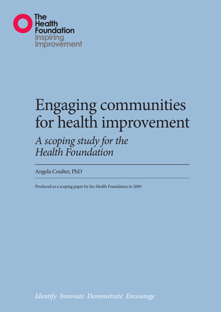

# Engaging communities for health improvement

# *A scoping study for the Health Foundation*

Angela Coulter, PhD

Produced as a scoping paper by the Health Foundation in 2009.

*Identify Innovate Demonstrate Encourage*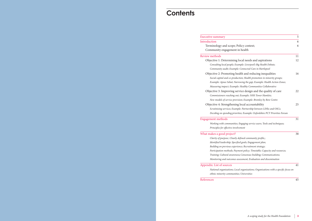## Engagement methods 31

*Working with communitie Principles for effective involvement* 

## What makes a good project?

*Clarity of purpose*; *Clearly Identified leadership; Speci Building on previous experience Participation methods; Pay*  $Training; Cultural awaren$ *Monitoring and outcomes* 

## Appendix: List of sources

 *National organisations; Local organisations; Organisations with a specific focus on ethnic minority communities; Universities*

References 45

|                                                               | C  |
|---------------------------------------------------------------|----|
|                                                               | 6  |
| Policy context;                                               | 6  |
| t in health                                                   |    |
|                                                               | 11 |
| g local needs and aspirations                                 | 12 |
| xample: Liverpool's Big Health Debate;                        |    |
| ole: Connected Care in Hartlepool                             |    |
| nealth and reducing inequalities                              | 16 |
| luction; Health promotion in minority groups;                 |    |
| arrowing the gap; Example: Health Action Zones;               |    |
| ble: Healthy Communities Collaborative                        |    |
| ervice design and the quality of care                         | 22 |
| out; Example: NHS Tower Hamlets;                              |    |
| vision; Example: Bromley by Bow Centre                        |    |
| ng local accountability                                       | 25 |
| mple: Partnership between LINks and OSCs;                     |    |
| rities; Example: Oxfordshire PCT Priorities Forum             |    |
|                                                               | 31 |
|                                                               |    |
| es; Engaging service users; Tools and techniques;<br>olvement |    |
|                                                               |    |
|                                                               | 38 |
| y defined community profile,;                                 |    |
| ified goals; Engagement plan;                                 |    |
| rience; Recruitment strategy;                                 |    |
| yment policy; Timetable; Capacity and resources;              |    |
| ress; Consensus-building; Communications;                     |    |
| assessment; Evaluation and dissemination                      |    |
|                                                               | 41 |
| ocal organisations; Organisations with a specific focus on    |    |
|                                                               |    |

# **Contents**

## Executive summary

## Introduction

Terminology and scope; Community engagement

## Review methods

Objective 1: Determining *Consulting local people; Example: Big Community audit; Examp* 

## Objective 2: Promoting h

*Social capital and co-prod Example: Apnee Sehat; Na Measuring impact; Examp* 

## Objective 3: Improving service design and the original  $Commissioners reaching$  o *New models of service provide:*

Objective 4: Strengthening

*Scrutinising services; Exan Deciding on spending prio*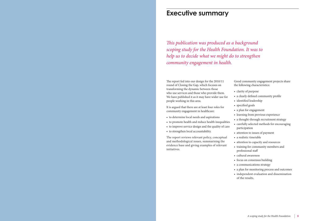The report fed into our design for the 2010/11 round of Closing the Gap, which focuses on transforming the dynamic between those who use services and those who provide them. We have published it as it may have wider use for people working in this area.

It is argued that there are at least four roles for community engagement in healthcare:

- to determine local needs and aspirations
- to promote health and reduce health inequalities
- to improve service design and the quality of care
- to strengthen local accountability.

The report reviews relevant policy, conceptual and methodological issues, summarising the evidence base and giving examples of relevant initiatives.

# **Executive summary**

*This publication was produced as a background scoping study for the Health Foundation. It was to help us to decide what we might do to strengthen community engagement in health.*

> Good community engagement projects share the following characteristics:

- clarity of purpose
- a clearly defined community profile
- identified leadership
- specified goals
- a plan for engagement
- learning from previous experience
- a thought-through recruitment strategy
- carefully selected methods for encouraging participation
- attention to issues of payment
- a realistic timetable
- attention to capacity and resources
- training for community members and
- professional staff
- cultural awareness
- focus on consensus building
- a communications strategy
- a plan for monitoring process and outcomes • independent evaluation and dissemination of the results.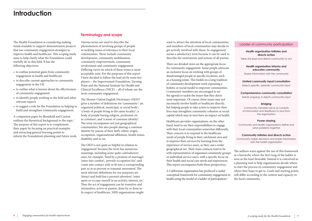Various terms are used to describe the phenomenon of involving groups of people in tackling issues of relevance to their local communities. These include community development, community mobilisation, community empowerment, community involvement and community engagement. Differing views on which of these terms is most acceptable exist. For the purposes of this report I have decided to follow the lead set by some key players – the Improvement Foundation, Turning Point and the National Institute for Health and Clinical Excellence (NICE) – all of whom use the term community engagement.

The Shorter Oxford English Dictionary (OED)2 gives a number of definitions for 'community': 'an organized political, municipal, or social body'; 'a body of people living in the same locality'; 'a body of people having religion, profession etc in common'; and 'a sense of common identity'. The term encompasses not just geographical communities, but also people sharing a common identity by reason of their faith, ethnic origin, occupation, organisational affiliation, health status, disability and so on.

The OED is not quite so helpful in relation to 'engagement' because the term has numerous meanings, including some quite contradictory ones, for example, 'bind by a promise of marriage'; 'enter into combat'; 'provide occupation for'; and 'come into contact with or fit into a corresponding part so as to prevent or transmit movement'. The most relevant definitions for our purposes are 'attract and hold fast a person's attention'; 'enter upon or occupy oneself in an activity, interest, etc'. Thus the act of engagement can be transitive and intransitive, active or passive, done by or done to. In respect of healthcare, NHS organisations might

# **Introduction**

The Health Foundation is considering making funds available to support demonstration projects that use community engagement strategies to improve health and healthcare. This scoping study aims to help clarify what the Foundation could usefully do in this field. It has the following objectives:

> A Californian organisation has produced a useful conceptual framework for community engagement in health using the model of a ladder of participation.<sup>3</sup>

- to outline potential gains from community engagement in health and healthcare
- to describe current approaches to community engagement in the UK
- to outline what is known about the effectiveness of community engagement
- to identify people working in the field and other relevant experts
- to suggest a role for the Foundation in helping to build and strengthen community engagement.

Community members serve as conduits of information and feedback to and from the organisation

A companion paper by Blomfield and Cayton outlines the theoretical background to the topic.<sup>1</sup> The purpose of this report is to complement their paper by focusing on practical examples and extracting general learning points to inform the Foundation's planning and future work.

want to attract the attention of local communities, and members of local communities may decide to get actively involved with them. So engagement seems a satisfactory term because it can be used to describe the motivations and actions of all parties.

There are divided views on the appropriate focus for community engagement. Some people advocate an exclusive focus on working with groups of disadvantaged people in specific locations, such as a housing estate. This builds on a long tradition of community development work espousing a holistic or social model to empower communities. Community members are encouraged to set the agenda to tackle the issues that they deem most important. Of course, these issues may not necessarily involve health or healthcare directly, but helping people to take action to improve their lives may strengthen community cohesion or social capital which may in turn have an impact on health.

Healthcare provider organisations, on the other hand, tend to see their responsibilities to engage with their local communities somewhat differently. Their concern is to respond to the healthcare needs of people living in their catchment area and to improve their services by learning from the experience of service users, so they cast a wider geographical net. Their main contacts tend to be with representatives of organised community groups or individual service users, with a specific focus on their health and social care needs and experiences. This report encompasses both these perspectives.

## Ladder of community participation

### **Health organisation initiates and directs action**

Takes the lead and directs community to act

### **Health organisation informs and educates community**

Shares information with the community

### **Limited community input/consultation**

Selects specific, periodic community input

## **Comprehensive community consultation**

Solicits ongoing, in-depth community input

### **Bridging**

### **Power-sharing**

Community and health organisations define and solve problems together

### **Community initiates and directs action**

Community makes decisions and shares information with the health organisation

The authors warn against the use of this framework as a hierarchy where the first rung of the ladder is seen as the least desirable. Instead it is conceived as a planning tool to help organisations decide where to start the process of community engagement and where they hope to get to. Goals and starting points will differ according to the context and capacity in the local community.

## **Terminology and scope**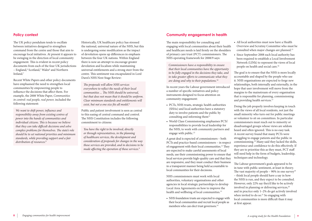The UK policy pendulum tends to oscillate between initiatives designed to strengthen command from the centre and those that aim to encourage local initiatives. At present it appears to be swinging in the direction of local community engagement. This is evident in recent policy documents from each of the four UK jurisdictions – England,<sup>4</sup> Scotland,<sup>5</sup> Wales<sup>6</sup> and Northern Ireland.<sup>7</sup>

Recent White Papers and other policy documents have emphasised the need to strengthen local communities by empowering people to influence the decisions that affect them. For example, the 2008 White Paper, *Communities in control: real people, real power,* included the following statement:

*We want to shift power, influence and responsibility away from existing centres of power into the hands of communities and individual citizens. This is because we believe that they can take difficult decisions and solve complex problems for themselves. The state's role should be to set national priorities and minimum standards, while providing support and a fair distribution of resources.*<sup>8</sup>

Historically, UK healthcare policy has stressed the national, universal nature of the NHS, but this is undergoing some modification as the impact of devolution opens up differences in emphasis between the four UK nations. Within England there is now an attempt to encourage greater devolution and localism while maintaining universal entitlements and a strong steer from the centre. This sentiment was encapsulated in Lord Darzi's NHS Next Stage Review:

- PCTs, NHS trusts, strategic health authorities (SHAs) and local authorities have a statutory duty to involve patients and the public by consulting and informing them<sup>11</sup>
- World Class Commissioning emphasises PCTs' responsibilities to provide local leadership for the NHS, to work with community partners and engage with public.<sup>12</sup>

*The proposals will allow NHS services everywhere to reflect the needs of their local communities ... The NHS should be universal, but that does not mean that it should be uniform. Clear minimum standards and entitlements will exist, but not a one size fits all model.*<sup>4</sup>

> NHS commissioners must work with local authorities, voluntary organisations and other agencies in local strategic partnerships to develop Local Area Agreements on how to improve the health and wellbeing of local communities.<sup>13</sup>

Public and patient involvement is seen as central to this easing of central command and control. The NHS Constitution includes the following commitment to citizens:

> • NHS foundation trusts are expected to engage with their local communities and recruit local people as members who can elect trust governors.<sup>14</sup>

*You have the right to be involved, directly or through representatives, in the planning of healthcare services, the development and consideration of proposals for changes in the way those services are provided, and in decisions to be made affecting the operation of those services.*<sup>9</sup>

## **Policy context** Community engagement in health

The goal is to ensure that the NHS is more locally accountable and shaped by the people who use it. NHS organisations are expected to forge new relationships, both internally and externally, in the hope that user involvement will move from the margins to the mainstream of every organisation that is responsible for planning, commissioning and providing health services.<sup>17</sup>

The main responsibility for consulting and engaging with local communities about their health and healthcare needs is laid firmly on the shoulders of primary care trust (PCT) commissioners. The NHS operating framework for 2008/9 says:

*Commissioners have a responsibility to ensure that their local communities have the opportunity to be fully engaged in the decisions they take, and to take greater efforts to communicate what they are doing and why to their populations.*<sup>10</sup>

In recent years the Labour government introduced a number of specific initiatives and policy instruments designed to focus attention on community engagement:

A great deal is expected of commissioners – both PCTs and practice-based commissioners – in respect of engagement with their local communities.12 They are expected to make careful assessments of local needs, use their commissioning power to ensure that local services provide high-quality care and that they are responsive, and they must conduct their business in a transparent manner being held accountable to local communities for their decisions.

• All local authorities must now have a Health Overview and Scrutiny Committee who must be consulted when major changes are planned.15 • Since September 2008 each local authority has been required to establish a Local Involvement Network (LINk) to represent the views of local people on health and social care.16

Doing the job properly involves keeping in touch with the views of all local residents, not just the small minority who turn out for public meetings or volunteer to sit on committees. In particular commissioners must reach out to minority or disadvantaged groups whose views are seldom heard and often ignored. This is no easy task. A recent survey found that many PCTs were struggling to engage patients and the public in commissioning.18 Many said they lacked the skills, experience and confidence to do this effectively. If they are to prioritise this as they must, PCT staff will need help in the form of budgets, leadership, techniques and technology.

The Labour government's goals appeared to be in tune with public sentiment, at least in theory. The vast majority of people  $-90\%$  in one survey<sup>19</sup> – think local people should have a say in how the NHS is run, and they expect to be consulted. However, only 22% say they'd like to be actively involved in planning or delivering services,<sup>20</sup> and in practice only 1–2% do get actively involved when invited to do so.<sup>21</sup> So engaging with local communities is more difficult than it may at first appear.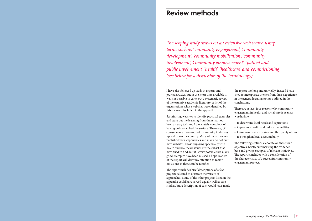I have also followed up leads in reports and journal articles, but in the short time available it was not possible to carry out a systematic review of the extensive academic literature. A list of the organisations whose websites were identified by this means is included in the appendix.

Scrutinising websites to identify practical examples and tease out the learning from them has not been an easy task and I am acutely conscious of having only scratched the surface. There are, of course, many thousands of community initiatives up and down the country. Many of these have not published their experiences and many do not even have websites. Those engaging specifically with health and healthcare issues are the subset that I have tried to find, but it is very possible that many good examples have been missed. I hope readers of the report will draw my attention to major omissions so these can be rectified.

The report includes brief descriptions of a few projects selected to illustrate the variety of approaches. Many of the other projects listed in the appendix could have served equally well as case studies, but a description of each would have made

the report too long and unwieldy. Instead I have tried to incorporate themes from their experience in the general learning points outlined in the conclusions.

There are at least four reasons why community engagement in health and social care is seen as worthwhile:

- to determine local needs and aspirations
- to promote health and reduce inequalities
- to improve service design and the quality of care
- to strengthen local accountability.

The following sections elaborate on these four objectives, briefly summarising the evidence base and giving examples of relevant initiatives. The report concludes with a consideration of the characteristics of a successful community engagement project.

*The scoping study draws on an extensive web search using terms such as 'community engagement', 'community development', 'community mobilisation', 'community involvement', 'community empowerment', 'patient and public involvement' 'health', 'healthcare' and 'commissioning' (see below for a discussion of the terminology).*

# **Review methods**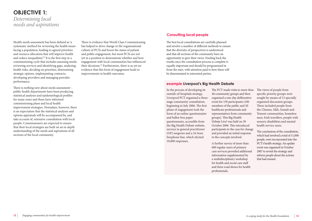Health needs assessment has been defined as 'a systematic method for reviewing the health issues facing a population, leading to agreed priorities and resource allocation that will improve health and reduce inequalities.<sup>22</sup> It is the first step in a commissioning cycle that includes assessing needs, reviewing services and identifying gaps, analysing health risks, deciding on priorities, determining strategic options, implementing contracts, developing providers and managing provider performance.

There is nothing new about needs assessment – public health departments have been producing statistical analyses and epidemiological profiles for many years and these have informed commissioning plans and local health improvement strategies. Nowadays, however, there is an expectation that the statistical analyses and options appraisals will be accompanied by, and take account of, extensive consultation with local people. Commissioners are expected to ensure that their local strategies are built on an in-depth understanding of the needs and aspirations of all sections of the local community.

There is evidence that World Class Commissioning has helped to drive change in the organisational culture of PCTs and boost the status of patient and public engagement, but most PCTs are not yet in a position to demonstrate whether and how engagement with local communities has influenced their decisions.18 Furthermore, there is as yet no evidence that this form of engagement leads to improvements in health outcomes.

The best local consultations are carefully planned and involve a number of different methods to ensure that the diversity of perspectives is understood and that all sections of the community have an opportunity to give their views. Feeding back the results once the consultation process is complete is equally important and should be programmed in from the start, with attention paid to how these will be disseminated to interested parties.

In the process of developing its outside-of-hospitals strategy, Liverpool PCT organised a threestage community consultation, beginning in July 2006. The first phase of engagement took the form of an online questionnaire and ballot-box paper questionnaire, accessible from the Big Health Debate website, surveys in general practitioner (GP) surgeries and a 24-hour freephone line, which elicited 10,000 responses.

The PCT made visits to more than 40 community groups and then organised a one-day deliberative event for 150 participants (100 members of the public and 50 healthcare professionals and representatives from community groups). This Big Health Debate Live! was held on 30 October 2006. This introduced participants to the case for change and provided an initial response to the concepts involved.

A further survey of more than 600 regular users of primary care services provided additional information supplemented by a multidisciplinary workshop for health and social care staff and three road shows for health professionals.

The views of people from specific priority groups were sought by means of 13 specially organised discussion groups. These included people from the Chinese, Sikh, Somali and Yemeni communities, homeless men, Irish travellers, people with sensory disabilities and mental health service users.

The conclusions of the consultation, which had involved a total of 11,000 people, were incorporated into the PCT's health strategy. An update event was organised in October 2007 to revisit the strategy and inform people about the actions that had ensued.

## **example Liverpool's Big Health Debate**

## **OBJECTIVE 1:**  *Determining local needs and aspirations*

## **Consulting local people**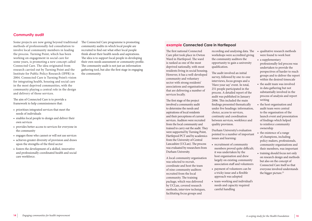Some projects are now going beyond traditional methods of professionally-led consultation to involve local community members in leading the process. Turning Point, which has been working on engagement in social care for some years, is promoting a new concept called Connected Care. The idea originated from research carried out by Turning Point and the Institute for Public Policy Research (IPPR) in 2004. Connected Care is Turning Point's vision for integrating health, housing and social care in the most deprived communities, with the community playing a central role in the design and delivery of those services.

The aim of Connected Care is to provide a framework to help commissioners that:

- prioritises integrated services that meet the needs of individuals
- enables local people to design and deliver their own services
- provides better access to services for everyone in the community
- engages those who cannot or will not use services
- achieves greater diversity of provision and draws upon the strengths of the third sector
- fosters the development of a skilled, innovative and professionally coordinated health and social care workforce.

The Connected Care programme is promoting community audits in which local people are recruited to find out what other local people think about their health needs and aspirations. The idea is to support local people in developing their own needs assessment or community profile. The community audit is not just an information gathering tool, but also the first stage in engaging the community.

The first national Connected Care pilot took place in Owton Ward in Hartlepool. The ward is ranked as one of the most deprived nationally, with most residents living in social housing. However, it has a well-developed community and voluntary sector with strong residents' associations and organisations that are delivering a number of services locally.

- qualitative research methods were found to work best
- a supplementary professionally-led process was undertaken to provide the perspectives of harder to reach groups and to deliver the report within the desired timescale
- the audit team was involved in data gathering but not substantially involved in the process of analysis and report writing
- the host organisation and audit team were central to the organisation of the launch event and presentation of findings which helped to reinforce community ownership
- the existence of a range of champions, including policy makers, professionals, community organisations and their members, was important
- training should focus not only on research design and methods but also on the concept of Connected Care itself so that everyone involved understands the bigger picture.<sup>23</sup>

The first stage of the project involved a community audit to determine the needs and aspirations of local residents and their perceptions of current services. Auditors were recruited from the local community and trained to carry out the audit. They were supported by Turning Point, Hartlepool PCT and by academics from the University of Central Lancashire (UCLan). The process was evaluated by researchers from Durham University.

A local community organisation was selected to recruit, coordinate and host the team of nine community auditors recruited from the local community. The training package, which was delivered by UCLan, covered research methods, interview techniques, facilitating focus groups and

recording and analysing data. The workshops were accredited giving the community auditors the opportunity to gain a university qualification.

The audit involved an initial survey, followed by one-to-one interviews, focus groups and a 'Have your say' event. In total, 251 people participated in the process. A detailed report of the audit was published in January 2006. This included the main findings presented thematically under five headings: information, choice, access to services, continuity and coordination between services, workforce and quality provision.

Durham University's evaluation pointed to a number of important issues and learning:

- recruitment of community members proved quite difficult; it was undertaken by the host organisation and drew largely on existing community association staff and volunteers
- payment of volunteers can be a tricky issue and a flexible approach was adopted
- team-working and individual's needs and capacity required careful handling

## **example Connected Care in Hartlepool**

## **Community audit**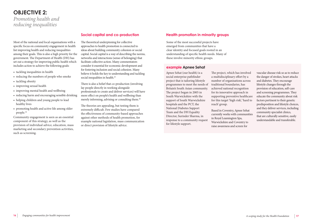Apnee Sehat (our health) is a social enterprise pathfinder project that is tailoring lifestyle programmes to meet the needs of Britain's South Asian community. The project began in 2005 in South Warwickshire with the support of South Warwickshire hospitals and the PCT, the National Diabetes Support Team and the DH Equality Director, Surinder Sharma, in response to a community request for lifestyle support.

The project, which has involved a multidisciplinary effort by a number of organisations across traditional boundaries, has achieved national recognition for its innovative approach in supporting preventive healthcare for this target 'high risk', 'hard to reach' group.

Based in Coventry, Apnee Sehat currently works with communities in Royal Leamington Spa, Warwickshire and Coventry to raise awareness and screen for

- tackling inequalities in health
- reducing the numbers of people who smoke
- tackling obesity
- improving sexual health
- improving mental health and wellbeing
- reducing harm and encouraging sensible drinking
- helping children and young people to lead healthy lives
- promoting health and active life among older people.<sup>24</sup>

The theoretical underpinning for collective approaches to health promotion is connected to ideas about building community cohesion or social capital. Social capital is a way of describing the norms, networks and interactions (sense of belonging) that facilitate collective action. Many commentators consider it essential for economic development and for fostering inclusion and social cohesion. Many believe it holds the key to understanding and tackling social inequalities in health.<sup>25</sup>

vascular disease risk so as to reduce the danger of strokes, heart attacks and diabetes. They encourage lifestyle changes through the provision of education, self-care and screening programmes. They educate the community about risk factors pertinent to their genetic predisposition and lifestyle choices, and they deliver services, including community specialist clinics, that are culturally sensitive, easily understandable and transferable.

There is also a belief that co-production (involving lay people directly in working alongside professionals to create and deliver services) will have more effect on people's health and wellbeing than merely informing, advising or consulting them.<sup>26</sup>

Most of the national and local organisations with a specific focus on community engagement in health list improving health and reducing inequalities among their goals. This is also a high priority for the government. The Department of Health (DH) has set out a strategy for improving public health which includes action to achieve the following goals:

Community engagement is seen as an essential component of this strategy, as well as the provision of individual advice, education, mass marketing and secondary prevention activities, such as screening.

The theories are appealing, but testing them is extremely difficult. Few studies have compared the effectiveness of community-based approaches against other methods of health promotion, for example national legislation, mass communication or direct provision of lifestyle advice.

# **OBJECTIVE 2:**

*Promoting health and reducing inequalities*

> Some of the most successful projects have emerged from communities that have a clear identity and focused goals rooted in an understanding of specific health needs. Many of these involve minority ethnic groups.

## **example Apnee Sehat**

## **Social capital and co-production Health promotion in minority groups**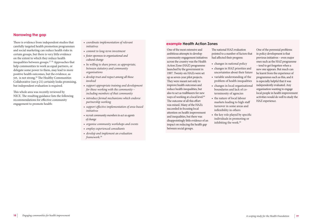There is evidence from independent studies that carefully targeted health promotion programmes and social marketing can reduce health risks in certain groups, but there is very little evidence on the extent to which they reduce health inequalities between groups.27-59 Approaches that help communities to work as equal partners, or delegate some power to them, may lead to more positive health outcomes, but the evidence, as yet, is not strong.<sup>26</sup> The Healthy Communities Collaborative (see p 21) certainly looks promising, but independent evaluation is required.

This whole area was recently reviewed by NICE. The resulting guidance lists the following recommendations for effective community engagement to promote health:

- changes in national policy
- changes in HAZ priorities and uncertainties about their future
- problem of health inequalities
- changes in local organisational boundaries and lack of coterminosity of agencies
- the nature of local labour markets leading to high staff turnover in some areas and inflexibility in others
- the key role played by specific individuals in promoting or inhibiting the work.<sup>60</sup>
- *coordinate implementation of relevant initiatives*
- *commit to long-term investment*
- *foster openness to organisational and cultural change*
- *be willing to share power, as appropriate, between statutory and community organisations*
- *develop trust and respect among all those involved*
- *support appropriate training and development for those working with the community – including members of that community*
- *introduce formal mechanisms which endorse partnership working*
- *support effective implementation of area-based initiatives*
- *recruit community members to act as agents of change*
- *organise community workshops and events*
- *employ experienced consultants*
- *develop and implement an evaluation framework.*<sup>26</sup>

One of the most extensive and ambitious attempts to develop community engagement initiatives across the country was the Health Action Zone (HAZ) programme launched by the government in 1997. Twenty-six HAZs were set up as seven-year pilot projects. They were meant not only to improve health outcomes and reduce health inequalities, but also to act as trailblazers for new ways of working at a local level.<sup>60</sup> The outcome of all this effort was mixed. Many of the HAZs succeeded in focusing local attention on health improvement and inequalities, but there was disappointingly little evidence of an impact on reducing the health gap between social groups.

The national HAZ evaluation pointed to a number of factors that had affected their progress:

• variable understanding of the

One of the perennial problems in policy development is that previous initiatives – even major ones such as the HAZ programme – tend to get forgotten when a new one appears. But much can be learnt from the experience of programmes such as this, and it is especially helpful that it was independently evaluated. Any organisation wanting to engage local people in health improvement activities would do well to study the HAZ experience.

## **example Health Action Zones**

## **Narrowing the gap**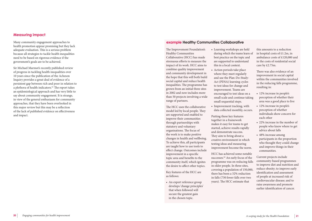Many community engagement approaches to health promotion appear promising but they lack adequate evaluation. This is a serious problem because all strategies to tackle health inequalities need to be based on rigorous evidence if the government's goals are to be achieved.

Sir Michael Marmot's recently published review of progress in tackling health inequalities over 10 years since the publication of the Acheson Inquiry provides a great deal of evidence of a persistent gap between rich and poor in relation to a plethora of health indicators.<sup>61</sup> The report takes an epidemiological approach and has very little to say about community engagement. It is strange, in view of the general enthusiasm for community approaches, that they have been overlooked in this major review but this may be a reflection of the lack of published evidence on effectiveness and impact.

The Improvement Foundation's Healthy Communities Collaborative (HCC) has made strenuous efforts to measure the impact of its work. HCC aims to combine quality improvement and community development in the hope that this will both build social capital and reduce health inequalities. The programme has grown from an initial three sites in 2002 and now includes more than 50 projects involving a wide range of partners.

The HCC uses the collaborative model led by local people. They are supported and enabled to improve their communities through partnerships with statutory and voluntary organisations. The focus of the work is to make positive changes in health and wellbeing. To achieve this, all participants are taught how to use tools to effect change. Outcomes include improvement in a specific topic area and benefits to the community itself, which ignites the desire to affect other topics.

Key features of the HCC are as follows:

• An expert reference group develops 'change principles' that when followed will secure the greatest gain in the chosen topic.

- Learning workshops are held during which the teams learn of best practice on the topic and are supported to understand this in a local context.
- Action periods take place where they meet regularly and use the Plan-Do-Study-Act (PDSA) learning cycles to test ideas for change and improvement. Teams are encouraged to test ideas on a small scale and continue taking small sequential steps.
- Improvement tracking, with data collected monthly, occurs.

Putting these key features together in a framework makes it easy for teams to get started, achieve results rapidly and demonstrate success. They aim to bring about a creative environment in which testing ideas and measuring improvement become the norm.

HCC has achieved some notable successes.<sup>62</sup> An early focus of the programme was on reducing falls in older people. In three sites, covering a population of 150,000, there has been a 32% reduction in falls (730 fewer falls over two years). The HCC estimate that

this amounts to a reduction in hospital costs of £1.2m, in ambulance costs of £120,000 and in the costs of residential social care by £2.75m.

There was also evidence of an improvement in social capital within the communities involved in the reducing falls programme, resulting in:

- 12% increase in people's perception of whether their area was a good place to live
- 12% increase in people's perception of whether individuals show concern for each other
- 22% increase in the number of people who knew where to get advice about falls
- 48% increase among participants in the proportion who thought they could change and improve things in their communities.

Current projects include community-based programmes to improve diet and nutrition and reduce obesity; to improve early identification and assessment of people at increased risk of cardiovascular disease; and to raise awareness and promote earlier identification of cancer.

## **example Healthy Communities Collaborative**

## **Measuring impact**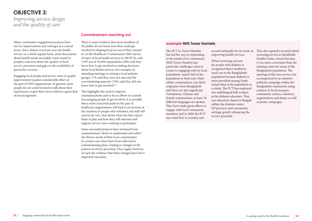Many community engagement projects have service improvement and redesign as a central focus. Since almost everyone uses the health service on a fairly regular basis, most discussions about health needs inevitably come round to people's concerns about the quality of local service provision and gaps in the availability of particular services.

There is some evidence that most members of the public do not know how they could get involved in shaping local services if they wanted to. In the Healthcare Commission's 2005 survey of users of local health services in 100 PCTs, only 3,597 out of 34,494 respondents (10%) said they knew how to get involved in making decisions about local health services (for example, by attending meetings or joining a local patients group); 17% said they were not sure and the overwhelming majority (73%) said they did not know how to get involved.<sup>63</sup>

Engaging local people and service users in quality improvement requires considerable effort on the part of NHS organisations. In general, most people do not come forward to talk about their experiences or give their views without a great deal of encouragement.

This highlights the need to improve communications and to focus efforts on actively encouraging people to get involved. It is possible that a more concerted push on the part of healthcare organisations will lead to an increase in the numbers of people who volunteer, but staff will need to be very clear about what role they expect them to play and how they will welcome and support service users wanting to participate.

Some successful projects have stemmed from commissioners' desire to understand and reflect the diverse needs of their local communities. In certain cases these have been reflected in commissioning plans, leading to changes in the pattern of service provision. Once again, however, we lack the evidence that these changes have led to improved outcomes.

The PCT in Tower Hamlets has led the way in responding to the needs of its community. NHS Tower Hamlets has particular challenges when it comes to engaging with its local population: nearly half of the population is from non-white ethnic communities, one third originates from Bangladesh and there are also significant Vietnamese, Chinese and Jewish communities; at least 78 different languages are spoken. They have made great efforts to engage with local community members and in 2009 the PCT was rated first in London and

second nationally for its work on They also opened a second retinal improving health services.

When reviewing services for people with diabetes it recognised that it needed to reach out to the Bangladeshi population because diabetes is more prevalent among South Asians than in the population as a whole. The PCT has employed two multilingual link workers as lay diabetes educators. They run education classes in Bengali within the diabetes centre, GP practices and community settings, greatly enhancing the service provided.

screening service at Spitalfields Health Centre, chosen because it was more convenient than the existing centre for many of the Bangladeshi population. The opening of this new service was accompanied by an intensive publicity campaign within the Bangladeshi community using contacts in local mosques, community centres, voluntary organisations and shops, as well as poster campaigns.

## **example NHS Tower Hamlets**

## **OBJECTIVE 3:**  *Improving service design and the quality of care*

## **Commissioners reaching out**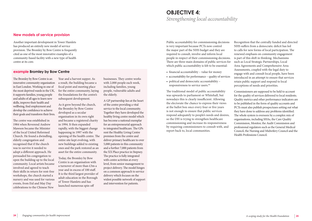Another important development in Tower Hamlets has produced an entirely new model of service provision. The Bromley by Bow Centre is frequently cited as one of the most innovative examples of a community-based facility with a new type of health centre at its core.

The Bromley by Bow Centre is an innovative community organisation in East London. Working in one of the most deprived wards in the UK, it supports families, young people and adults of all ages to learn new skills, improve their health and wellbeing, find employment and develop the confidence to achieve their goals and transform their lives.

The centre was established in 1984 when Reverend Andrew Mawson became the Minister of the local United Reformed Church. He found a dwindling, elderly congregation and recognised that if the church was to survive it needed to adopt a different approach. He persuaded his congregation to open the building up to the local community. Local artists became involved and agreed to teach their skills in return for rent-free workshops, the church started a nursery and was used for various events, from Eid and May Day celebrations to the Chinese New

Year and a harvest supper. As a result, the building became a focal point and meeting place for the entire community, laying the foundations for the centre's subsequent development.

As it grew beyond the church, the Bromley by Bow Centre developed as a secular organisation in its own right and became a registered charity in 1994. It then expanded rapidly, with the biggest change happening in 1997 with the opening of the health centre. The entire site kept evolving, with new buildings added to existing ones and the park restored as an asset for the entire community.

Today, the Bromley by Bow Centre is an organisation with a turnover of more than £3m a year and in excess of 100 staff. It is the third largest provider of adult education in the Borough of Tower Hamlets and has launched numerous spin-off

businesses. They centre works with 2,000 people each week, including families, young people, vulnerable adults and the elderly.

A GP partnership lies at the heart of the centre providing a vital service to the local community. Together they have developed the healthy living centre model which has become a national exemplar for an entrepreneurial approach to integrated healthcare. The GPs rent the Healthy Living Centre premises from the centre and deliver primary healthcare to over 5,000 patients in this community and a further 7,000 patients from the XX Place practice in Stepney. The practice is fully integrated with centre activities at every level, from senior management to project delivery. The model hinges on a common approach to service delivery which focuses on the widest possible network of support and intervention for patients.

## **example Bromley by Bow Centre**

The traditional model of public accountability was upwards to parliament or Whitehall, but nowadays this is clearly insufficient. Allowing the electorate the chance to express their views at the ballot box once every four or five years is not enough to ensure that public services respond adequately to people's needs and desires, so the DH is trying to strengthen healthcare commissioning and increase its responsiveness by requiring commissioners to consult with, and report back to, local communities.

Public accountability for commissioning decisions is very important because PCTs now control the major part of the NHS budget and they are required to consult, involve and inform local people in respect of their commissioning decisions. There are three main domains of public services for which public accountability is felt to be essential: • financial accountability – value for money • accountability for performance – quality of services • political and democratic accountability – responsiveness to service users.<sup>64</sup> Recognition that the centrally funded and directed NHS suffers from a democratic deficit has led to calls for new forms of local participation. The renewed emphasis on community engagement is part of this shift in thinking. Mechanisms such as Local Strategic Partnerships, Local Area Agreements and Comprehensive Area Assessments, coupled with the legal duty to engage with and consult local people, have been introduced in an attempt to ensure that services retain public support and respond to local perceptions of needs and priorities.

- 
- 
- 

Commissioners are supposed to be held to account for the quality of services delivered to local residents. Quality metrics and other performance indicators are to be published in the form of quality accounts and PCTs must also publish prospectuses setting out what they have done to address any problems identified. The whole system is overseen by a complex mix of organisations, including SHAs, the Care Quality Commission, Monitor, the Audit Commission and professional regulators such as the General Medical Council, the Nursing and Midwifery Council and the Health Professions Council.

# **OBJECTIVE 4:**

*Strengthening local accountability*

## **New models of service provision**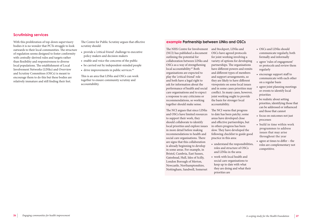- provide a 'critical friend' challenge to executive policy makers and decision makers
- enable and voice the concerns of the public
- be carried out by independent-minded people
- drive improvements in public services.<sup>64</sup>

With this proliferation of top-down supervisory bodies it is no wonder that PCTs struggle to look outwards to their local communities. The structure of regulation seems designed to foster conformity with centrally-derived rules and targets rather than flexibility and responsiveness to diverse local populations. The establishment of Local Involvement Networks (LINks) and Overview and Scrutiny Committees (OSCs) is meant to encourage them to do this but these bodies are relatively immature and still finding their feet.

The Centre for Public Scrutiny argues that effective scrutiny should:

This is an area that LINks and OSCs can work together to ensure community scrutiny and accountability.

The NHS Centre for Involvement (NCI) has published a document outlining the potential for collaboration between LINks and OSCs as a way of strengthening local accountability.<sup>65</sup> Both organisations are expected to play the 'critical friend' role and both have a legal right to ask for information about the performance of health and social care organisations and to expect a response to any criticisms or recommendations, so working together should make sense.

The NCI argues that since LINks and OSCs have limited resources to support their work, they should collaborate to identify local priorities and explore issues in more detail before making recommendations to health and social care organisations. There are signs that this collaboration is already beginning to develop in some areas. For example, in Bristol, Cumbria, East Sussex, Gateshead, Hull, Isles of Scilly, London Borough of Merton, Newcastle, Northamptonshire, Nottingham, Sandwell, Somerset

and Stockport, LINks and OSCs have agreed protocols for joint working involving a variety of options for developing partnerships. The organisations have different powers and remits and different types of members and support arrangements, so they are likely to have different viewpoints on some local issues and in some cases priorities may conflict. In many cases, however, joint working ought to provide the basis for stronger local accountability.

The NCI warns that progress to date has been patchy; some areas have developed close and effective partnerships, but in others progress has been slow. They have developed the following checklist to guide good practice in this area:

- understand the responsibilities, roles and structure of OSCs and LINks in the area
- work with local health and social care organisations to keep up to date with what they are doing and what their priorities are
- OSCs and LINks should communicate regularly, both formally and informally
- agree 'rules of engagement' or protocols and review them regularly
- encourage support staff to communicate with each other on a regular basis
- agree joint planning meetings or events to identify local priorities
- be realistic about setting priorities, identifying those that can be addressed or influenced and those that cannot
- focus on outcomes not just processes
- build in time within work programmes to address issues that may arise throughout the year
- agree at times to differ the roles are complementary not competitive.

## **example Partnership between LINks and OSCs**

## **Scrutinising services**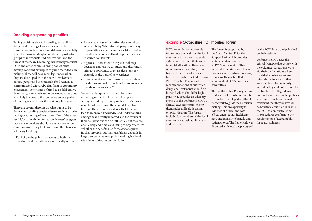Taking decisions about the quality, availability, design and funding of local services can lead commissioners into controversial waters, especially when this involves denying services to particular groups or individuals. Judicial reviews, and the threat of them, are becoming increasingly frequent. PCTs and other commissioning bodies must develop coherent principles to guide their decision making. These will have most legitimacy when they are developed with the active involvement of local people and the rationale for decisions is communicated effectively. This form of community engagement, sometimes referred to as deliberative democracy, is relatively underdeveloped as yet, but it is likely to come to the fore as we enter a period of funding squeeze over the next couple of years.

- Reasonableness the rationales should be acceptable by 'fair-minded' people as a way of providing value for money while meeting health needs for a defined population under resource constraints.
- Appeals there must be ways to challenge decisions and resolve disputes, and these must offer an opportunity to revise decisions, for example in the light of new evidence.
- Enforcement action to ensure the first three conditions are met through either voluntary or mandatory regulation.<sup>66</sup>

There are several theories on what ought to be done when tackling sensitive issues such as priority setting or rationing of healthcare. One of the most useful, 'accountability for reasonableness', suggests that decision makers should pay attention to four conditions or principles to maximise the chance of achieving local buy-in:

• Publicity – the public has access to both the decisions and the rationales for priority setting.

Various techniques can be used to secure active engagement of local people in priority setting, including citizen's panels, citizen's juries, neighbourhood committees and deliberative forums. There is some evidence that these can lead to improved knowledge and understanding among those directly involved and the results of their deliberations can be influential, but they are often costly and time consuming to organise.26,67-69 Whether the benefits justify the costs requires further research, but their usefulness depends in large part on what local policy-making bodies do with the resulting recommendations.

PCTs are under a statutory duty to promote the health of the local community. They are also under a duty not to exceed their annual financial allocation. These legal requirements mean that, from time to time, difficult choices have to be made. The Oxfordshire PCT Priorities Forum makes recommendations about which drugs and treatments should be low and which should be high priority. It provides an advisory service to the Oxfordshire PCT's clinical executive team to help them make difficult decisions on prioritisation. The forum includes lay members of the local community as well as clinicians and managers.

The forum is supported by the South Central Priorities Support Unit which provides an independent service to all PCTs in the region. They undertake literature searches and produce evidence-based reviews, which are then submitted to an individual PCT's priorities committees.

The South Central Priority Setting Unit and the Oxfordshire Priorities Forum have developed an ethical framework to guide their decision making. This gives priority to evidence of clinical and cost effectiveness, equity, healthcare need and capacity to benefit, and patient choice. The framework was discussed with local people, agreed

by the PCT's board and published on their website.

Oxfordshire PCT uses the ethical framework together with the evidence-based reviews to aid their deliberations when considering whether to fund referrals for treatments that are exceptions to previously agreed policy and not covered by contracts or NICE guidance. This does not eliminate public protests when individuals are denied treatment that they believe will be beneficial, but it does enable the PCT to demonstrate that its procedures conform to the requirements of accountability for reasonableness.

## **example Oxfordshire PCT Priorities Forum**

## **Deciding on spending priorities**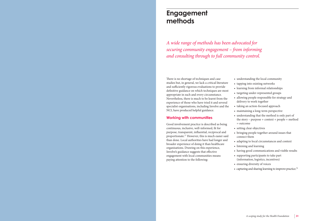There is no shortage of techniques and case studies but, in general, we lack a critical literature and sufficiently rigorous evaluations to provide definitive guidance on which techniques are most appropriate in each and every circumstance. Nevertheless, there is much to be learnt from the experience of those who have tried it and several specialist organisations, including Involve and the NCI, have produced helpful guidance.

• understanding the local community • tapping into existing networks • learning from informal relationships • targeting under-represented groups • allowing people responsible for strategy and delivery to work together • taking an action-focused approach • maintaining a long-term perspective • understanding that the method is only part of the story – purpose + context + people + method = outcome • setting clear objectives • bringing people together around issues that connect them • adapting to local circumstances and context • listening and learning • having good communications and visible results • supporting participants to take part (information, logistics, incentives) • ensuring diversity of voices • capturing and sharing learning to improve practice.<sup>70</sup>

## **Working with communities**

Good involvement practice is described as being continuous, inclusive, well-informed, fit for purpose, transparent, influential, reciprocal and proportionate.17 However, this is much easier said than done. Local authorities have had longer and broader experience of doing it than healthcare organisations. Drawing on this experience, Involve's guidance suggests that effective engagement with local communities means paying attention to the following:

# **Engagement methods**

*A wide range of methods has been advocated for securing community engagement – from informing and consulting through to full community control.*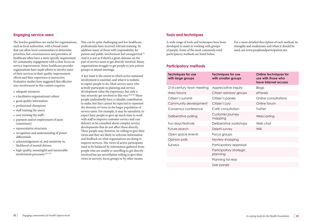- adequate resources
- a facilitative organisational culture
- good quality information
- professional champions
- staff training (by users)
- user training (by staff)
- payment and/or employment of users (sometimes)
- representative structures
- recognition and understanding of power differentials
- acknowledgement of, and sensitivity to, likelihood of mental distress
- high-quality, meaningful and measurable involvement processes.<sup>26,71-73</sup>

The Involve guidelines are useful for organisations, such as local authorities, with a broad remit that can allow local communities to determine priorities, but commissioners and providers of healthcare often have a more specific requirement for community engagement with a clear focus on service improvement. Some healthcare provider organisations have made efforts to involve users of their services in their quality improvement efforts and their experience is instructive. Evaluative studies have suggested that effective user involvement in this context requires:

This can be quite challenging and few healthcare professionals have received relevant training. In addition many of those with responsibility for patient and public involvement feel unsupported.74 And it is not as if there's a great clamour on the part of service users to get directly involved. Many organisations struggle to get people to join patient groups or attend meetings.

A key issue is the extent to which active sustained involvement is essential, and what it is realistic to expect people to do. Most service users who actively participate in planning and service development value the experience, but only a tiny minority get involved in this way.<sup>26,67,68</sup> These people undoubtedly have a valuable contribution to make, but they cannot be expected to represent the diversity of views in the larger population of service users. For example, it may be unrealistic to expect busy people to give up much time to work with staff to improve customer service and care delivery or be consulted about complex service developments that do not affect them directly. These people may, however, be willing to give their views and they are likely to welcome information and feedback on what organisations are doing to improve services. The views of active participants need to be balanced by information gathered from people who are unable or unwilling to get directly involved but are nevertheless willing to give their views in surveys, focus groups or by other means.

A wide range of tools and techniques have been developed to assist in working with groups of people. Some of the most commonly used participatory methods are listed below.

For a more detailed description of each method, its strengths and weaknesses and when it should be used, see www.peopleandparticipation.net.

| <b>Techniques for use</b><br>with large groups | <b>Techniques for use</b><br>with smaller groups | <b>Online techniques for</b><br>use with those who<br>have internet access |
|------------------------------------------------|--------------------------------------------------|----------------------------------------------------------------------------|
| 21st-century town meeting                      | Appreciative inquiry                             | <b>Blogs</b>                                                               |
| Area forums                                    | Citizen advisory groups                          | ePanels                                                                    |
| Citizen's summit                               | Citizen's panels                                 | Online consultations                                                       |
| Community development                          | Citizen's jury                                   | Online forum                                                               |
| Consensus conference                           | Café consultation                                | Twitter                                                                    |
| Deliberative polling                           | Customer journey<br>mapping                      | Webcasting                                                                 |
| Fun days/festivals                             | Deliberative workshops                           | Web chat                                                                   |
| Future search                                  | Delphi survey                                    | Wiki                                                                       |
| Open space events                              | Focus groups                                     |                                                                            |
| Opinion polls                                  | Mystery shopping                                 |                                                                            |
| Surveys                                        | Participatory appraisal                          |                                                                            |
|                                                | Participatory strategic<br>planning              |                                                                            |
|                                                | Planning for real                                |                                                                            |
|                                                | User panels                                      |                                                                            |

## **Engaging service users Tools and techniques**

## **Participatory methods**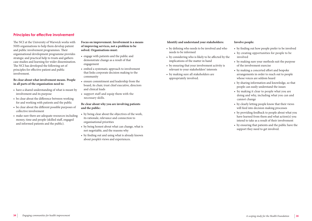The NCI at the University of Warwick works with NHS organisations to help them develop patient and public involvement programmes. Their organisational development programme provides strategic and practical help to trusts and gathers case studies and learning for wider dissemination. The NCI has developed the following set of principles for effective patient and public involvement.

**Be clear about what involvement means. People in all parts of the organisation need to:**

- have a shared understanding of what is meant by involvement and its purpose
- be clear about the difference between working for and working with patients and the public
- be clear about the different possible purposes of collective involvement
- make sure there are adequate resources including money, time and people (skilled staff, engaged and informed patients and the public).

**Focus on improvement. Involvement is a means of improving services, not a problem to be solved. Organisations must:**

- engage with patients and the public and demonstrate change as a result of that engagement
- embed a systematic approach to involvement that links corporate decision making to the community
- ensure commitment and leadership from the board, its chair, trust chief executive, directors and clinical leads
- support staff and equip them with the necessary skills.

## **Be clear about why you are involving patients and the public:**

- by being clear about the objectives of the work, its rationale, relevance and connection to organisational priorities
- by being honest about what can change, what is not negotiable, and the reasons why
- by finding out and using what is already known about people's views and experiences.

### **Identify and understand your stakeholders:**

- by defining who needs to be involved and who needs to be informed
- by considering who is likely to be affected by the implications of the matter in hand
- by ensuring that your involvement activity is relevant to your stakeholders' interests
- by making sure all stakeholders are appropriately involved.

### **Involve people:**

- by finding out how people prefer to be involved
- by creating opportunities for people to be involved
- by making sure your methods suit the purpose of the involvement exercise
- by making a concerted effort and bespoke arrangements in order to reach out to people whose voices are seldom heard
- by sharing information and knowledge, so that people can easily understand the issues
- by making it clear to people what you are doing and why, including what you can and cannot change
- by clearly letting people know that their views will feed into decision making processes
- by providing feedback to people about what you have learned from them and what action(s) you intend to take as a result of their involvement
- by ensuring that patients and the public have the support they need to get involved.

## **Principles for effective involvement**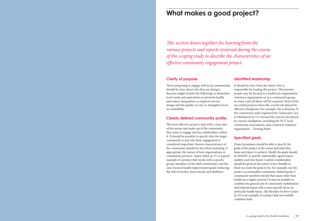## **Clarity of purpose**

Those proposing to engage with local communities should be clear about why they are doing it. Reasons might include the following: to determine local needs and aspirations; to promote health and reduce inequalities; to improve service design and the quality of care; to strengthen local accountability.

## **Clearly defined community profile**

The most effective projects start with a clear idea of the nature and make-up of the community they want to engage and key stakeholders within it. It should be possible to specify who the target community is and why their engagement is considered important. Known characteristics of the community should be described including, if appropriate, the names of host organisations or community partners. Apnee Sehat (p 17) is a good example of a project that works with a specific group (members of the Sikh community) and has clear focused health improvement goals (reducing the risk of strokes, heart attacks and diabetes).

## **Identified leadership**

It should be clear from the outset who is responsible for leading the project. This person/ people may be located in a healthcare organisation, voluntary organisation or in a community group; in many cases all three will be required. Most of the successful projects stress the crucial role played by effective champions. For example, the evaluation of the community audit organised by Connected Care in Hartlepool (p 15) stressed the crucial role played by various champions, including the PCT, local community associations, and a national voluntary organisation – Turning Point.

## **Specified goals**

Project proposers should be able to specify the goals of the project at the outset and what they hope and expect to achieve. Ideally the goals should be SMART, ie specific, measurable, agreed upon, realistic and time based. Careful consideration should be given at the outset to how flexible or fixed you want the goals to be. For example, can the project accommodate community-defined goals if community members decide that issues other than health are a higher priority? It may be possible to combine the general aim of community mobilisation and empowerment with a more specific focus on particular health topics. The Bromley by Bow Centre (p 24) is an example of a project that successfully combines both.

# **What makes a good project?**

*This section draws together the learning from the various projects and reports reviewed during the course of this scoping study to describe the characteristics of an effective community engagement project.*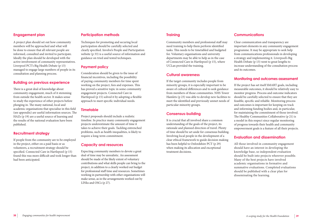A project plan should set out how community members will be approached and what will be done to ensure that all relevant people are informed, consulted and invited to participate. Ideally the plan should be developed with the active involvement of community representatives. Liverpool PCT's Big Health Debate (p 13) managed to engage large numbers of people in its consultation and planning process.

## **Building on previous experience**

There is a great deal of knowledge about community engagement, much of it stemming from outside the health sector. It makes sense to study the experience of other projects before plunging in. The many national, local and academic organisations that specialise in this field (see appendix) are useful information sources. The HAZs (p 19) are a useful source of learning and the results of the national evaluation have been published.

## **Recruitment strategy**

If people from the community are to be employed in the project, either on a paid basis or as volunteers, a recruitment strategy should be specified. Connected Care in Hartlepool (p 15) found this was more difficult and took longer than had been anticipated.

Techniques for promoting and securing local participation should be carefully selected and clearly specified. Involve's People and Participation website (p 33) is a useful source of information and guidance on tried and tested techniques.

## **Payment policy**

Consideration should be given to the issue of financial incentives, including the possibility of paying community members for time spent working on the project, fees and expenses. This has proved a sensitive topic in some community engagement projects. Connected Care in Hartlepool (p 15) solved it by adopting a flexible approach to meet specific individual needs.

## **Timetable**

Project proposals should include a realistic timeline. In practice many community engagement projects underestimate the amount of time it takes to achieve their goals. Tackling entrenched problems, such as health inequalities, is likely to require a long-term commitment.

## **Capacity and resources**

Expecting community members to devote a great deal of time may be unrealistic. An assessment should be made of the likely extent of voluntary contributions and what skills people can bring to the project, in addition to a clearly worked out budget for professional staff time and resources. Sometimes working in partnership with other organisations will make sense, as in the arrangements worked out by LINks and OSCs (p 27).

Community members and professional staff may need training to help them perform identified tasks. This needs to be timetabled and budgeted for. Voluntary organisations and university departments may be able to help as in the case of Connected Care in Hartlepool (p 15), where UCLan provided the training.

## **Cultural awareness**

If the target community includes people from minority groups, it is especially important to be aware of cultural differences and to seek guidance from members of those communities. NHS Tower Hamlets (p 23) was able to develop new facilities to meet the identified and previously unmet needs of particular minority groups.

## **Consensus-building**

It is crucial that all involved share a common understanding of the goals of the project, its rationale and planned direction of travel. Plenty of time should be set aside for consensus building. Involving local people in the development of a clear ethical framework to guide decision making has been helpful to Oxfordshire PCT (p 29) when making its allocation and exceptional treatment decisions.

Clear communication and transparency are important elements in any community engagement programme. It may be appropriate to seek help from communications professionals in developing a strategy and implementing it. Liverpool's Big Health Debate (p 13) went to great lengths to increase understanding of the consultation process and its outcomes.

## **Monitoring and outcomes assessment**

If the project has set itself SMART goals, including measurable outcomes, it should be relatively easy to monitor progress. Process and outcome indicators should be carefully selected to ensure that they are feasible, specific and reliable. Monitoring process and outcomes is important for keeping on track and informing funding bodies and, in particular, for maintaining the commitment of those involved. The Healthy Communities Collaborative (p 21) is a model in this respect since regular monitoring of progress towards their health and community empowerment goals is a feature of all their projects.

## **Evaluation and dissemination**

All those involved in community engagement should have an interest in developing the knowledge base, so independent evaluation should be built into projects wherever possible. Many of the best projects have involved academic organisations in formative and summative evaluations. Completed evaluations should be published with a clear plan for disseminating the learning.

## **Engagement plan Participation methods Training Communications**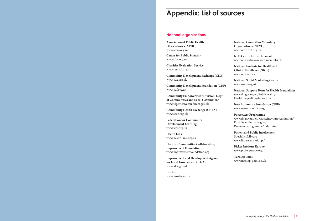| <b>Association of Public Health</b>           | N              |
|-----------------------------------------------|----------------|
| <b>Observatories (APHO)</b>                   | $\overline{C}$ |
| www.apho.org.uk                               | $\mathsf{W}$   |
| <b>Centre for Public Scrutiny</b>             | N              |
| www.cfps.org.uk                               | $\mathsf{W}$   |
| <b>Charities Evaluation Service</b>           | N              |
| www.ces-vol.org.uk                            | $\mathsf{C}$   |
| <b>Community Development Exchange (CDX)</b>   | W              |
| www.cdx.org.uk                                | N              |
| <b>Community Development Foundation (CDF)</b> | W              |
| www.cdf.org.uk                                | N              |
| <b>Community Empowerment Division, Dept</b>   | W              |
| of Communities and Local Government           | F              |
| www.togetherwecan.direct.gov.uk               | N              |
| <b>Community Health Exchange (CHEX)</b>       | W              |
| www.scdc.org.uk                               | ${\bf P}$      |
| <b>Federation for Community</b>               | W              |
| <b>Development Learning</b>                   | E              |
| www.fcdl.org.uk                               | P              |
| <b>Health Link</b>                            | $\mathbf{p}$   |
| www.health-link.org.uk                        | S              |
|                                               | W              |
| <b>Healthy Communities Collaborative,</b>     |                |
| <b>Improvement Foundation</b>                 | $\mathbf{P}$   |
| www.improvementfoundation.org                 | N              |
| <b>Improvement and Development Agency</b>     | T              |
| for Local Government (IDeA)                   | $\mathsf{W}$   |
| www.idea.gov.uk                               |                |
|                                               |                |

**Involve** www.involve.co.uk

**National Council for Voluntary Organisations (NCVO)** www.ncvo-vol.org.uk

**NHS Centre for Involvement** www.nhscentreforinvolvement.nhs.uk

**National Institute for Health and Clinical Excellence (NICE)** www.nice.org.uk

**National Social Marketing Centre** www.nsms.org.uk

**National Support Team for Health Inequalities** www.dh.gov.uk/en/Publichealth/ Healthinequalities/index.htm

**New Economics Foundation (NEF)** www.neweconomics.org

**Pacesetters Programme** www.dh.gov.uk/en/Managingyourorganisation/ Equalityandhumanrights/ Pacesettersprogramme/index.htm

**Patient and Public Involvement Specialist Library** www.library.nhs.uk/ppi/

**Picker Institute Europe** www.pickereurope.org

**Turning Point** www.turning-point.co.uk

# **Appendix: List of sources**

## **National organisations**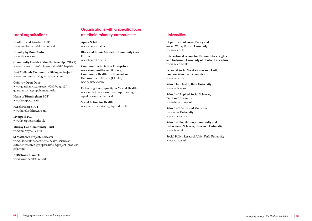

**Bradford and Airedale PCT** www.bradfordairedale-pct.nhs.uk

**Bromley by Bow Centre** www.bbbc.org.uk

**Community Health Action Partnership (CHAP)** www.chalk-ndc.info/doing/ndc-health/chap.htm

**East Midlands Community Dialogue Project** www.communitydialogue.typepad.com

**Grimsby Open Door** www.guardian.co.uk/society/2007/aug/15/ guardiansocietysupplement.health

**Heart of Birmingham PCT** www.hobtpct.nhs.uk

**Herefordshire PCT** www.herefordshire.nhs.uk

**Liverpool PCT** www.liverpoolpct.nhs.uk

**Murray Hall Community Trust** www.murrayhall.co.uk

**St Matthew's Project, Leicester** www2.le.ac.uk/departments/health-sciences/ extranet/research-groups/Nuffield/project\_profiles/ eqh.html

**NHS Tower Hamlets** www.towerhamlets.nhs.uk **Apnee Sehat** www.apneesehat.net

**Black and Ethnic Minority Community Care Forum** www.bemccf.org.uk

**Communities in Action Enterprises www.communitiesinaction.org Community Health Involvement and Empowerment Forum (CHIEF)** www.chiefcic.com

**Delivering Race Equality in Mental Health** www.nmhdu.org.uk/our-work/promotingequalities-in-mental-health/

**Social Action for Health** www.safh.org.uk/safh\_php/index.php

**Department of Social Policy and Social Work, Oxford University** www.ox.ac.uk

**International School for Communities, Rights and Inclusion, University of Central Lancashire** www.uclan.ac.uk

**Personal Social Services Research Unit, London School of Economics** www.lse.ac.uk

**School for Health, Bath University** www.bath.ac.uk

**School of Applied Social Sciences, Durham University** www.dur.ac.uk/sass/

**School of Health and Medicine, Lancaster University** www.lancs.ac.uk

**School of Population, Community and Behavioural Sciences, Liverpool University** www.liv.ac.uk

**Social Policy Research Unit, York University** www.york.ac.uk

## **Local organisations**

## **Organisations with a specific focus on ethnic minority communities Universities**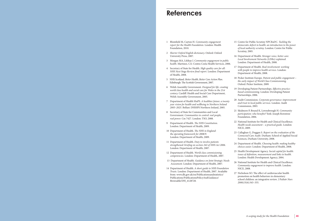| 1 | Blomfield M, Cayton H. Community engagement<br>report for the Health Foundation. London: Health<br>Foundation, 2010.                                                                                           |
|---|----------------------------------------------------------------------------------------------------------------------------------------------------------------------------------------------------------------|
| 2 | Shorter Oxford English dictionary. Oxford: Oxford<br>University Press, 2007.                                                                                                                                   |
| 3 | Morgan MA, Lifshay J. Community engagement in public<br>health. Martinez, CA: Contra Costa Health Services, 2006.                                                                                              |
| 4 | Secretary of State for Health. High quality care for all:<br>NHS Next Stage Review final report. London: Department<br>of Health, 2008.                                                                        |
| 5 | NHS Scotland. Better Health, Better Care Action Plan.<br>Edinburgh: The Scottish Government, 2007.                                                                                                             |
| 6 | Welsh Assembly Government. Designed for life: creating<br>world class health and social care for Wales in the 21st<br>century. Cardiff: Health and Social Care Department,<br>Welsh Assembly Government, 2005. |
| 7 | Department of Health SSaPS. A healthier future: a twenty<br>year vision for health and wellbeing in Northern Ireland<br>2005-2025. Belfast: DHSSPS Northern Ireland, 2005.                                     |
| 8 | Secretary of State for Communities and Local<br>Government. Communities in control: real people,<br>real power. Cm 7427. London: TSO, 2008.                                                                    |
| 9 | Department of Health. The NHS Constitution.<br>London: Department of Health, 2009.                                                                                                                             |
|   | 10 Department of Health. The NHS in England:<br>the operating framework for 2008/9.<br>London: Department of Health, 2009.                                                                                     |
|   | 11 Department of Health. Duty to involve patients<br>strengthened: briefing on section 242 of NHS Act 2006.<br>London: Department of Health, 2007.                                                             |
|   | 12 Department of Health. World class commissioning<br>competencies. London: Department of Health, 2007.                                                                                                        |
|   | 13 Department of Health. Guidance on Joint Strategic Needs<br>Assessment. London: Department of Health, 2007.                                                                                                  |
|   | 14 Department of Health. A short guide to NHS Foundation<br>Trusts. London: Department of Health, 2007. Available<br>from: www.dh.gov.uk/en/Publicationsandstatistics/                                         |

Publications/PublicationsPolicyAndGuidance/

Browsable/DH\_4128728.

- 15 Centre for Public Scrutiny NPCRaDC. *Tackling the democratic deficit in health: an introduction to the power of local authority scrutiny.* London: Centre for Public Scrutiny, 2005.
- 16 Department of Health. *Stronger voice, better care: Local Involvement Networks (LINks) explained.* London: Department of Health, 2008.
- 17 Department of Health. *Real involvement: working with people to improve health services.* London: Department of Health, 2008.
- 18 Picker Institute Europe. *Patient and public engagement the early impact of World Class Commissioning.* Oxford: Picker Institute, 2009.
- 19 Developing Patient Partnerships. *Effective practicebased commissioning.* London: Developing Patient Partnerships, 2006.
- 20 Audit Commission. *Corporate governance: improvement and trust in local public services.* London: Audit Commission, 2003.
- 21 Skidmore P, Bound K, Lownsbrough H. *Community participation: who benefits?* York: Joseph Rowntree Foundation, 2006.
- 22 National Institute for Health and Clinical Excellence. *Health needs assessment – a practical guide.* London: NICE, 2009.
- 23 Callaghan G, Duggan S. *Report on the evaluation of the Connected Care Audit.* Durham: School of Applied Social Sciences, Durham University, 2008.
- 24 Department of Health. *Choosing health: making healthy choices easier.* London: Department of Health, 2008.
- 25 Health Development Agency. *Social capital for health: issues of definition, measurement and links to health.*  London: Health Development Agency, 2004.
- 26 National Institute for Health and Clinical Excellence. *Community engagement to improve health.* London: NICE, 2008.
- 27 Nicholson SO. The effect of cardiovascular health promotion on health behaviors in elementary school children: an integrative review *. J Pediatr Nurs 2000*;15(6):343–355.

# **References**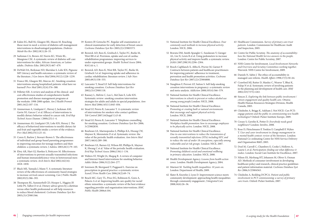- 28 Eakin EG, Bull SS, Glasgow RE, Mason M. Reaching those most in need: a review of diabetes self-management interventions in disadvantaged populations. *Diabetes Metab Res Rev* 2002;18(1):26–35.
- 29 Sarkisian CA, Brown AF, Norris KC, Wintz RL, Mangione CM. A systematic review of diabetes self-care interventions for older, African American, or Latino adults. *Diabetes Educ* 2003;29(3):467–479.
- 30 DeWalt DA, Berkman ND, Sheridan S, Lohr KN, Pignone MP. Literacy and health outcomes: a systematic review of the literature. *J Gen Intern Med* 2004;19(12):1228–1239.
- 31 France EK, Glasgow RE, Marcus AC. Smoking cessation interventions among hospitalized patients: what have we learned? *Prev Med* 2001;32(4):376–388.
- 32 Pelletier KR. A review and analysis of the clinical- and cost-effectiveness studies of comprehensive health promotion and disease management programs at the worksite: 1998-2000 update. *Am J Health Promot*  2001;16(2):107–116.
- 33 Ammerman A, Lindquist C, Hersey J, Jackman AM, Gavin NI, Garces C et al. Efficacy of interventions to modify dietary behavior related to cancer risk. *Evid Rep Technol Assess* (Summ ) 2000;(25):1–4.
- 34 Ammerman AS, Lindquist CH, Lohr KN, Hersey J. The efficacy of behavioral interventions to modify dietary fat and fruit and vegetable intake: a review of the evidence. *Prev Med* 2002;35(1):25–41.
- 35 Coren E, Barlow J, Stewart-Brown S. The effectiveness of individual and group-based parenting programmes in improving outcomes for teenage mothers and their children: a systematic review. *J Adolesc* 2003;26(1):79–103.
- 36 Elwy AR, Hart GJ, Hawkes S, Petticrew M. Effectiveness of interventions to prevent sexually transmitted infections and human immunodeficiency virus in heterosexual men: a systematic review. *Arch Intern Med* 2002;162(16): 1818–1830.
- 37 Black ME, Yamada J, Mann V. A systematic literature review of the effectiveness of community-based strategies to increase cervical cancer screening. *Can J Public Health*  2002;93(5):386–393.
- 38 Thompson RL, Summerbell CD, Hooper L, Higgins JP, Little PS, Talbot D et al. Dietary advice given by a dietitian versus other health professional or self-help resources to reduce blood cholesterol. *Cochrane Database Syst Rev*  2003;(3):CD001366.
- 39 Kosters JP, Gotzsche PC. Regular self-examination or clinical examination for early detection of breast cancer. *Cochrane Database Syst Rev* 2003;(2):CD003373.
- 40 Beswick AD, Rees K, Griebsch I, Taylor FC, Burke M, West RR et al. Provision, uptake and cost of cardiac rehabilitation programmes: improving services to under-represented groups. *Health Technol Assess* 2004;  $8(41):iii-x, 1.$
- 41 Beswick AD, Rees K, West RR, Taylor FC, Burke M, Griebsch I et al. Improving uptake and adherence in cardiac rehabilitation: literature review. *J Adv Nurs*  2005;49(5):538–555.
- 42 Lancaster T, Stead LF. Self-help interventions for smoking cessation. *Cochrane Database Syst Rev*  2002;(3):CD001118.
- 43 Ranney L, Melvin C, Lux L, McClain E, Lohr KN. Systematic review: smoking cessation intervention strategies for adults and adults in special populations. *Ann Intern Med* 2006;145(11):845–856.
- 44 Stead LF, Perera R, Lancaster T. A systematic review of interventions for smokers who contact quitlines. *Tob Control* 2007;16(Suppl 1):i3-i8.
- 45 Stead LF, Perera R, Lancaster T. Telephone counselling for smoking cessation. *Cochrane Database Syst Rev* 2006; 3:CD002850.
- 46 Boulware LE, Marinopoulos S, Phillips KA, Hwang CW, Maynor K, Merenstein D et al. Systematic review: the value of the periodic health evaluation. *Ann Intern Med*  2007;146(4):289–300.
- 47 Boulware LE, Barnes GJ, Wilson RF, Phillips K, Maynor K, Hwang C et al. Value of the periodic health evaluation. *Evid Rep Technol Assess* 2006;(136):1–134.
- 48 Walters ST, Wright JA, Shegog R. A review of computer and Internet-based interventions for smoking behavior. *Addict Behav* 2006;31(2):264–277.
- 49 Sorensen JB, Skovgaard T, Puggaard L. Exercise on prescription in general practice: a systematic review. *Scand J Prim Health Care* 2006;24(2):69–74.
- 50 Beach MC, Gary TL, Price EG, Robinson K, Gozu A, Palacio A et al. Improving health care quality for racial/ ethnic minorities: a systematic review of the best evidence regarding provider and organization interventions. *BMC Public Health* 2006;6:104.
- 51 National Institute for Health Clinical Excellence. *Four commonly used methods to increase physical activity*. London: NICE, 2006.
- 52 Bravata DM, Smith-Spangler C, Sundaram V, Gienger AL, Lin N, Lewis R et al. Using pedometers to increase physical activity and improve health: a systematic review. *JAMA* 2007;298(19):2296–2304.
- 53 Bosch-Capblanch X, Abba K, Prictor M, Garner P. Contracts between patients and healthcare practitioners for improving patients' adherence to treatment, prevention and health promotion activities. *Cochrane Database Syst Rev* 2007;(2):CD004808.
- 54 Naughton F, Prevost AT, Sutton S. Self-help smoking cessation interventions in pregnancy: a systematic review and meta-analysis. *Addiction* 2008;103(4):566–579.
- 55 National Institute for Health Clinical Excellence. *Interventions in schools to prevent or reduce alcohol use among young people.*London: NICE, 2008.
- 56 National Institute for Health Clinical Excellence. *Promoting or creating built or natural environments that encourage and support physical activity.* London: NICE, 2008.
- 57 National Institute for Health Clinical Excellence. *Workplace health promotion: how to encourage employees to be physically active.* London: NICE, 2008.
- 58 National Institute for Health Clinical Excellence. *One-to-one interventions to reduce the transmission of sexually transmitted infections (STIs) including HIV, and to reduce the rate of under 18 conceptions, especially among vulnerable and at risk groups.* London: NICE, 2007.
- 59 National Institute for Health Clinical Excellence. *Promoting children's social and emotional wellbeing in primary education.* London: NICE, 2008.
- 60 Health Development Agency. *Lessons from health action zones.* London: Health Development Agency, 2004.
- 61 Marmot M. *Tackling health inequalities: 10 years on.* London: Department of Health; 2009.
- 62 Slater B, Knowles J, Lyon D. Improvement science meets community development: approaching health inequalities through community engagement. *J Integrated Care*  2008;16(6):26–36. 74 Chisholm A, Redding DCPCA. *Patient and public involvement in PCT commissioning: a survey of primary care trusts*. Oxford: Picker Institute, 2007.
- 63 Healthcare Commission. *Survey of primary care trust patients.* London: Commission for Healthcare Audit and Inspection, 2005.
- 64 Centre for Public Scrutiny. *The anatomy of accountability: how the National Health Service answers to the people.* London: Centre for Public Scrutiny, 2007.
- 65 NHS Centre for Involvement. *Local Involvement Networks and Overview and Scrutiny Committees working together.*  Warwick: NHS Centre for Involvement, 2009.
- 66 Daniels N, Sabin J. The ethics of accountability in managed care reform. *Health Affairs* 1998;17(5):50–64.
- 67 Crawford MJ, Rutter D, Manley C, Weaver T, Bhui K, Fulop N et al. Systematic review of involving patients in the planning and development of health care. *BMJ* 2002;325(7375):1263.
- 68 Simces Z. *Exploring the link between public involvement / citizen engagement and quality health care.* Ottawa: Health Human Resources Strategies Division, Health Canada, 2003.
- 69 Chisholm A, Briggs K, Askham J. Not NICE: *Can PCTs engage patients and the public in commissioning new health technologies?* Oxford: Picker Institute Europe, 2009.
- 70 Creasy S, Gavelin K, Potter D. *Everybody needs good neighbours?* London: Involve, 2008.
- 71 Rose D, Fleischmann P, Tonkiss F, Campbell P, Wykes T. *User and carer involvement in change management in a mental health context: review of the literature.* London: National Co-ordinating Centre for NHS Service Delivery and Organisation R&D, 2003.
- 72 Doel M, Carroll C, Chambers E, Cooke I, Hollows A, Laurie L et al. *Participation: finding out what difference it makes.* London: Social Care Institute for Excellence, 2007.
- 73 Nilsen ES, Myrhaug HT, Johansen M, Oliver S, Oxman AD. Methods of consumer involvement in developing healthcare policy and research, clinical practice guidelines and patient information material. *Cochrane Database Syst Rev* 2006;3:CD004563.